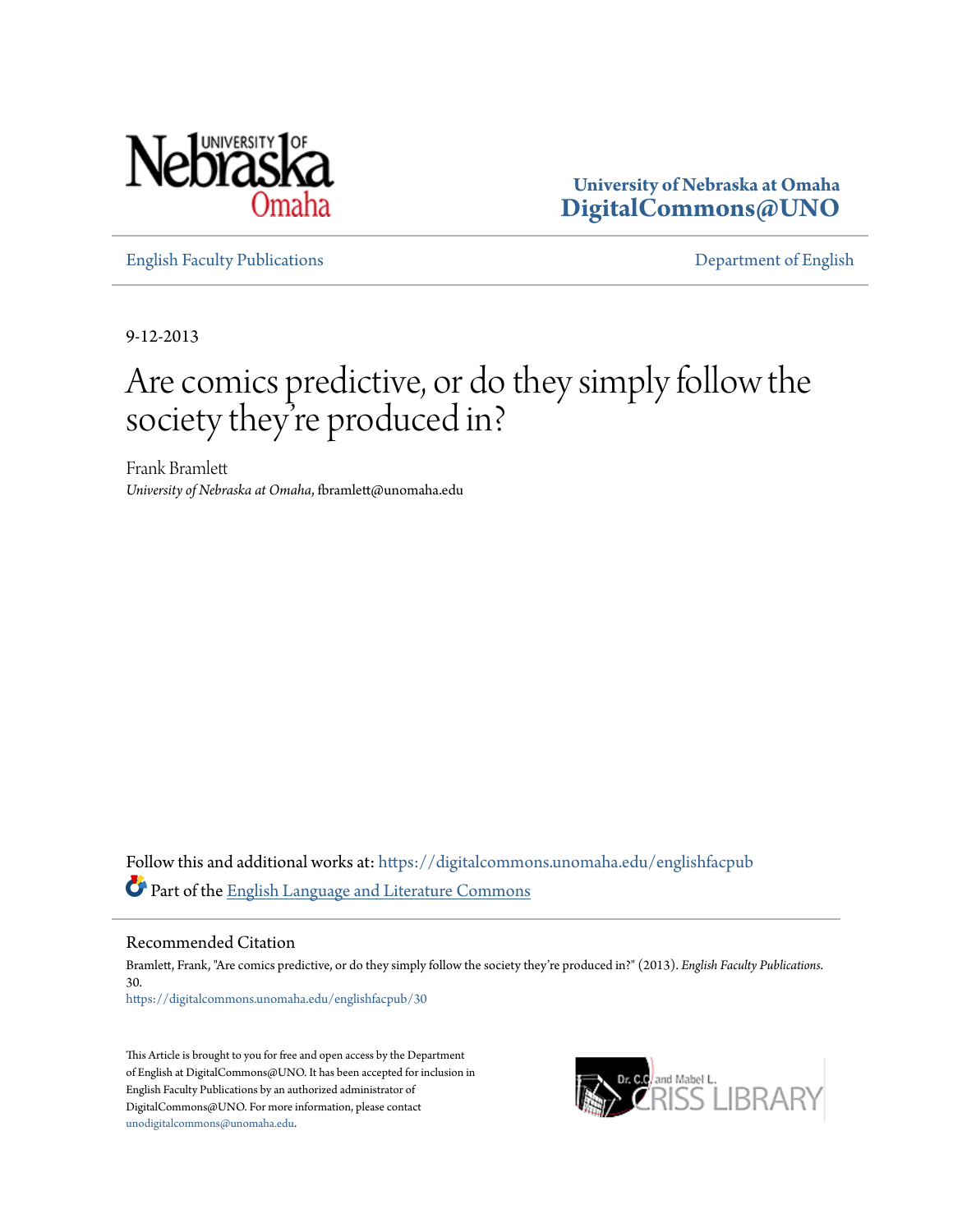

**University of Nebraska at Omaha [DigitalCommons@UNO](https://digitalcommons.unomaha.edu?utm_source=digitalcommons.unomaha.edu%2Fenglishfacpub%2F30&utm_medium=PDF&utm_campaign=PDFCoverPages)**

[English Faculty Publications](https://digitalcommons.unomaha.edu/englishfacpub?utm_source=digitalcommons.unomaha.edu%2Fenglishfacpub%2F30&utm_medium=PDF&utm_campaign=PDFCoverPages) [Department of English](https://digitalcommons.unomaha.edu/english?utm_source=digitalcommons.unomaha.edu%2Fenglishfacpub%2F30&utm_medium=PDF&utm_campaign=PDFCoverPages)

9-12-2013

## Are comics predictive, or do they simply follow the society they re produced in? '

Frank Bramlett *University of Nebraska at Omaha*, fbramlett@unomaha.edu

Follow this and additional works at: [https://digitalcommons.unomaha.edu/englishfacpub](https://digitalcommons.unomaha.edu/englishfacpub?utm_source=digitalcommons.unomaha.edu%2Fenglishfacpub%2F30&utm_medium=PDF&utm_campaign=PDFCoverPages) Part of the [English Language and Literature Commons](http://network.bepress.com/hgg/discipline/455?utm_source=digitalcommons.unomaha.edu%2Fenglishfacpub%2F30&utm_medium=PDF&utm_campaign=PDFCoverPages)

Recommended Citation

Bramlett, Frank, "Are comics predictive, or do they simply follow the society they're produced in?" (2013). *English Faculty Publications*. 30. [https://digitalcommons.unomaha.edu/englishfacpub/30](https://digitalcommons.unomaha.edu/englishfacpub/30?utm_source=digitalcommons.unomaha.edu%2Fenglishfacpub%2F30&utm_medium=PDF&utm_campaign=PDFCoverPages)

This Article is brought to you for free and open access by the Department of English at DigitalCommons@UNO. It has been accepted for inclusion in English Faculty Publications by an authorized administrator of DigitalCommons@UNO. For more information, please contact [unodigitalcommons@unomaha.edu](mailto:unodigitalcommons@unomaha.edu).

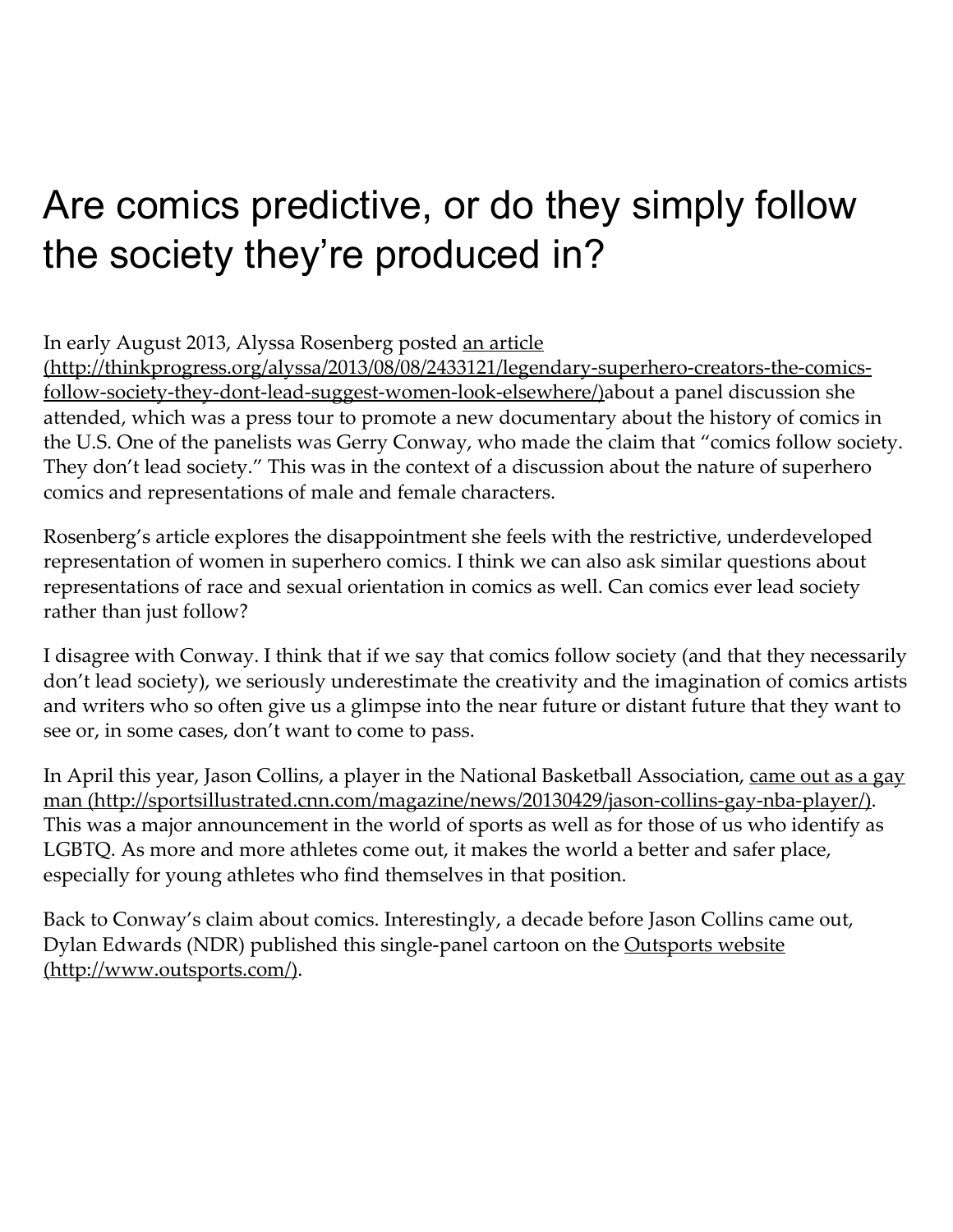## Are comics predictive, or do they simply follow the society they're produced in?

In early August 2013, Alyssa Rosenberg posted an article

[\(http://thinkprogress.org/alyssa/2013/08/08/2433121/legendary‑superhero‑creators‑the‑comics‑](http://thinkprogress.org/alyssa/2013/08/08/2433121/legendary-superhero-creators-the-comics-follow-society-they-dont-lead-suggest-women-look-elsewhere/) follow-society-they-dont-lead-suggest-women-look-elsewhere/)about a panel discussion she attended, which was a press tour to promote a new documentary about the history of comics in the U.S. One of the panelists was Gerry Conway, who made the claim that "comics follow society. They don't lead society." This was in the context of a discussion about the nature of superhero comics and representations of male and female characters.

Rosenberg's article explores the disappointment she feels with the restrictive, underdeveloped representation of women in superhero comics. I think we can also ask similar questions about representations of race and sexual orientation in comics as well. Can comics ever lead society rather than just follow?

I disagree with Conway. I think that if we say that comics follow society (and that they necessarily don't lead society), we seriously underestimate the creativity and the imagination of comics artists and writers who so often give us a glimpse into the near future or distant future that they want to see or, in some cases, don't want to come to pass.

In April this year, Jason Collins, a player in the National Basketball Association, came out as a gay man (http://sportsillustrated.cnn.com/magazine/news/20130429/jason-collins-gay-nba-player/). This was a major announcement in the world of sports as well as for those of us who identify as LGBTQ. As more and more athletes come out, it makes the world a better and safer place, especially for young athletes who find themselves in that position.

Back to Conway's claim about comics. Interestingly, a decade before Jason Collins came out, Dylan Edwards (NDR) published this single-panel cartoon on the Outsports website [\(http://www.outsports.com/\).](http://www.outsports.com/)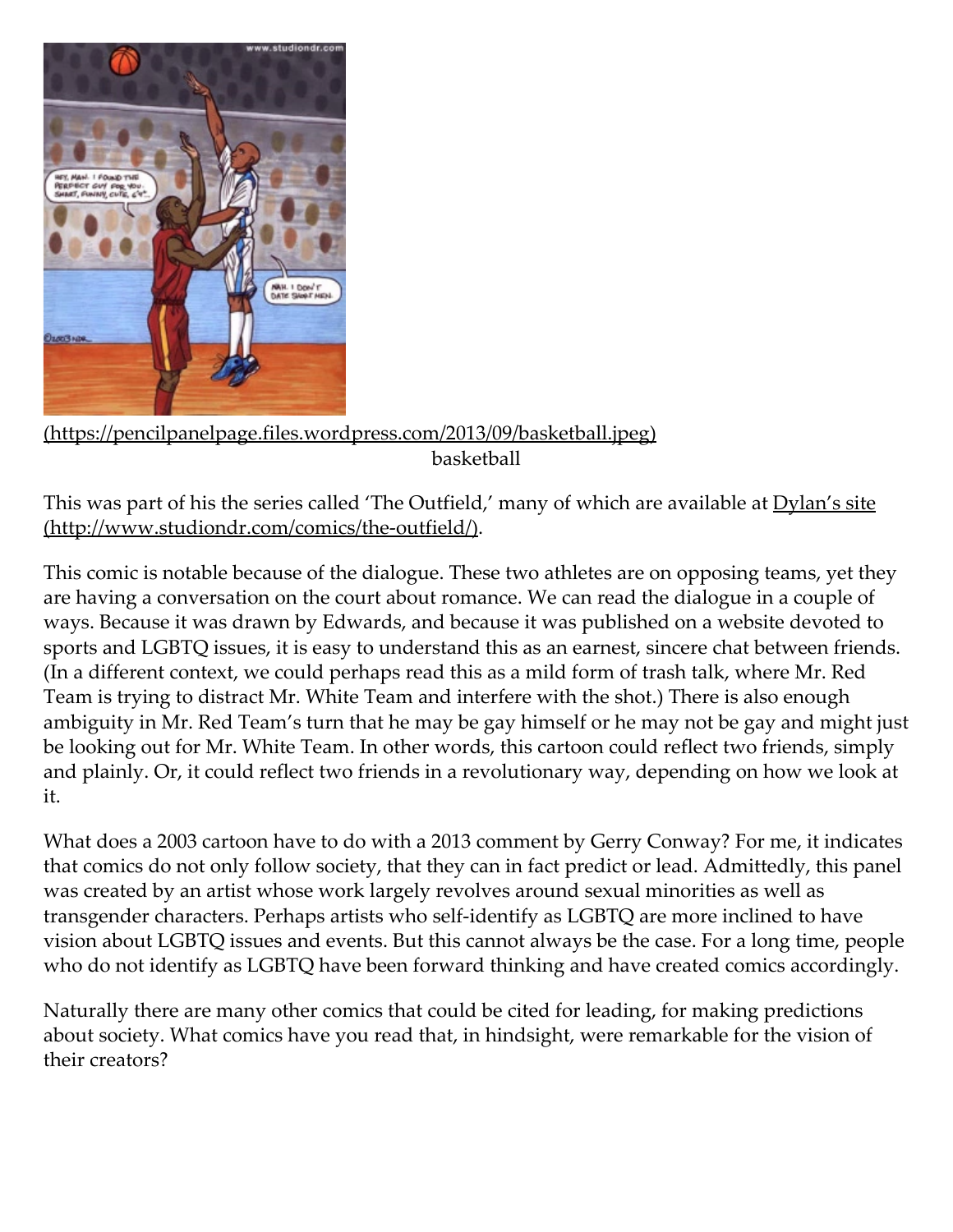

[\(https://pencilpanelpage.files.wordpress.com/2013/09/basketball.jpeg\)](https://pencilpanelpage.files.wordpress.com/2013/09/basketball.jpeg) basketball

This was part of his the series called 'The Outfield,' many of which are available at Dylan's site (http://www.studiondr.com/comics/the-outfield/).

This comic is notable because of the dialogue. These two athletes are on opposing teams, yet they are having a conversation on the court about romance. We can read the dialogue in a couple of ways. Because it was drawn by Edwards, and because it was published on a website devoted to sports and LGBTQ issues, it is easy to understand this as an earnest, sincere chat between friends. (In a different context, we could perhaps read this as a mild form of trash talk, where Mr. Red Team is trying to distract Mr. White Team and interfere with the shot.) There is also enough ambiguity in Mr. Red Team's turn that he may be gay himself or he may not be gay and might just be looking out for Mr. White Team. In other words, this cartoon could reflect two friends, simply and plainly. Or, it could reflect two friends in a revolutionary way, depending on how we look at it.

What does a 2003 cartoon have to do with a 2013 comment by Gerry Conway? For me, it indicates that comics do not only follow society, that they can in fact predict or lead. Admittedly, this panel was created by an artist whose work largely revolves around sexual minorities as well as transgender characters. Perhaps artists who self‑identify as LGBTQ are more inclined to have vision about LGBTQ issues and events. But this cannot always be the case. For a long time, people who do not identify as LGBTQ have been forward thinking and have created comics accordingly.

Naturally there are many other comics that could be cited for leading, for making predictions about society. What comics have you read that, in hindsight, were remarkable for the vision of their creators?